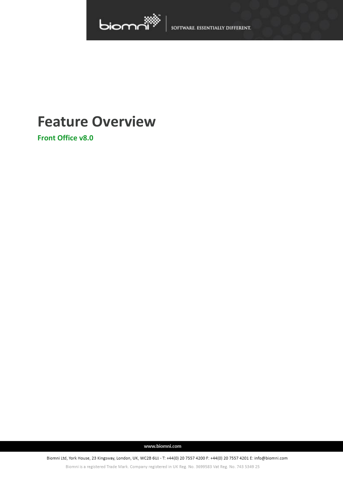

SOFTWARE. ESSENTIALLY DIFFERENT.

# **Feature Overview**

**Front Office v8.0**

www.biomni.com

Biomni Ltd, York House, 23 Kingsway, London, UK, WC2B 6UJ - T: +44(0) 20 7557 4200 F: +44(0) 20 7557 4201 E: info@biomni.com

Biomni is a registered Trade Mark. Company registered in UK Reg. No. 3699583 Vat Reg. No. 743 5349 25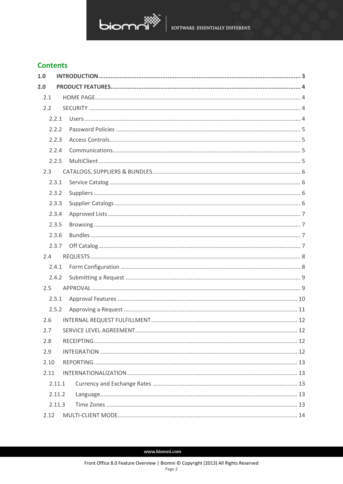

## **Contents**

| 1.0    |    |
|--------|----|
| 2.0    |    |
| 2.1    |    |
| 2.2    |    |
| 2.2.1  |    |
| 2.2.2  |    |
| 2.2.3  |    |
| 2.2.4  |    |
| 2.2.5  |    |
| 2.3    |    |
| 2.3.1  |    |
| 2.3.2  |    |
| 2.3.3  |    |
| 2.3.4  |    |
| 2.3.5  |    |
| 2.3.6  |    |
| 2.3.7  |    |
| 2.4    |    |
| 2.4.1  |    |
| 2.4.2  |    |
| 2.5    |    |
| 2.5.1  |    |
| 2.5.2  |    |
| 2.6    |    |
| 2.7    | 12 |
| 2.8    |    |
| 2.9    |    |
| 2.10   |    |
| 2.11   |    |
| 2.11.1 |    |
| 2.11.2 |    |
| 2.11.3 |    |
| 2.12   |    |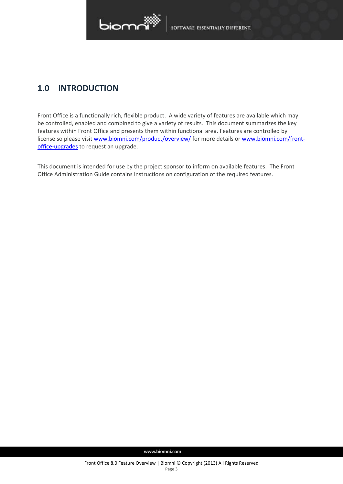

# <span id="page-2-0"></span>**1.0 INTRODUCTION**

Front Office is a functionally rich, flexible product. A wide variety of features are available which may be controlled, enabled and combined to give a variety of results. This document summarizes the key features within Front Office and presents them within functional area. Features are controlled by license so please visit [www.biomni.com/product/overview/](http://www.biomni.com/product/overview/) for more details or [www.biomni.com/front](http://www.biomni.com/front-office-upgrades)[office-upgrades](http://www.biomni.com/front-office-upgrades) to request an upgrade.

This document is intended for use by the project sponsor to inform on available features. The Front Office Administration Guide contains instructions on configuration of the required features.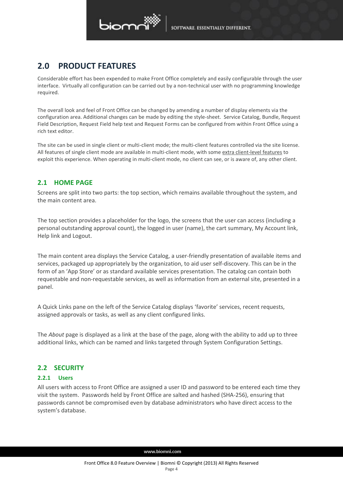

# <span id="page-3-0"></span>**2.0 PRODUCT FEATURES**

Considerable effort has been expended to make Front Office completely and easily configurable through the user interface. Virtually all configuration can be carried out by a non-technical user with no programming knowledge required.

The overall look and feel of Front Office can be changed by amending a number of display elements via the configuration area. Additional changes can be made by editing the style-sheet. Service Catalog, Bundle, Request Field Description, Request Field help text and Request Forms can be configured from within Front Office using a rich text editor.

The site can be used in single client or multi-client mode; the multi-client features controlled via the site license. All features of single client mode are available in multi-client mode, with some [extra client-level features](#page-13-0) to exploit this experience. When operating in multi-client mode, no client can see, or is aware of, any other client.

## <span id="page-3-1"></span>**2.1 HOME PAGE**

Screens are split into two parts: the top section, which remains available throughout the system, and the main content area.

The top section provides a placeholder for the logo, the screens that the user can access (including a personal outstanding approval count), the logged in user (name), the cart summary, My Account link, Help link and Logout.

The main content area displays the Service Catalog, a user-friendly presentation of available items and services, packaged up appropriately by the organization, to aid user self-discovery. This can be in the form of an 'App Store' or as standard available services presentation. The catalog can contain both requestable and non-requestable services, as well as information from an external site, presented in a panel.

A Quick Links pane on the left of the Service Catalog displays 'favorite' services, recent requests, assigned approvals or tasks, as well as any client configured links.

The *About* page is displayed as a link at the base of the page, along with the ability to add up to three additional links, which can be named and links targeted through System Configuration Settings.

## <span id="page-3-2"></span>**2.2 SECURITY**

## <span id="page-3-3"></span>**2.2.1 Users**

All users with access to Front Office are assigned a user ID and password to be entered each time they visit the system. Passwords held by Front Office are salted and hashed (SHA-256), ensuring that passwords cannot be compromised even by database administrators who have direct access to the system's database.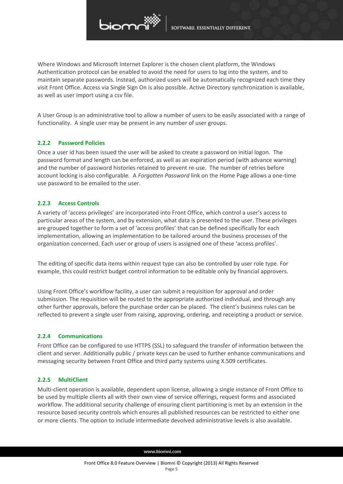

Where Windows and Microsoft Internet Explorer is the chosen client platform, the Windows Authentication protocol can be enabled to avoid the need for users to log into the system, and to maintain separate passwords. Instead, authorized users will be automatically recognized each time they visit Front Office. Access via Single Sign On is also possible. Active Directory synchronization is available, as well as user import using a csv file.

A User Group is an administrative tool to allow a number of users to be easily associated with a range of functionality. A single user may be present in any number of user groups.

## <span id="page-4-0"></span>**2.2.2 Password Policies**

Once a user id has been issued the user will be asked to create a password on initial logon. The password format and length can be enforced, as well as an expiration period (with advance warning) and the number of password histories retained to prevent re-use. The number of retries before account locking is also configurable. A *Forgotten Password* link on the Home Page allows a one-time use password to be emailed to the user.

## <span id="page-4-1"></span>**2.2.3 Access Controls**

A variety of 'access privileges' are incorporated into Front Office, which control a user's access to particular areas of the system, and by extension, what data is presented to the user. These privileges are grouped together to form a set of 'access profiles' that can be defined specifically for each implementation, allowing an implementation to be tailored around the business processes of the organization concerned. Each user or group of users is assigned one of these 'access profiles'.

The editing of specific data items within request type can also be controlled by user role type. For example, this could restrict budget control information to be editable only by financial approvers.

Using Front Office's workflow facility, a user can submit a requisition for approval and order submission. The requisition will be routed to the appropriate authorized individual, and through any other further approvals, before the purchase order can be placed. The client's business rules can be reflected to prevent a single user from raising, approving, ordering, and receipting a product or service.

## <span id="page-4-2"></span>**2.2.4 Communications**

Front Office can be configured to use HTTPS (SSL) to safeguard the transfer of information between the client and server. Additionally public / private keys can be used to further enhance communications and messaging security between Front Office and third party systems using X.509 certificates.

#### <span id="page-4-3"></span>**2.2.5 MultiClient**

Multi-client operation is available, dependent upon license, allowing a single instance of Front Office to be used by multiple clients all with their own view of service offerings, request forms and associated workflow. The additional security challenge of ensuring client partitioning is met by an extension in the resource based security controls which ensures all published resources can be restricted to either one or more clients. The option to include intermediate devolved administrative levels is also available.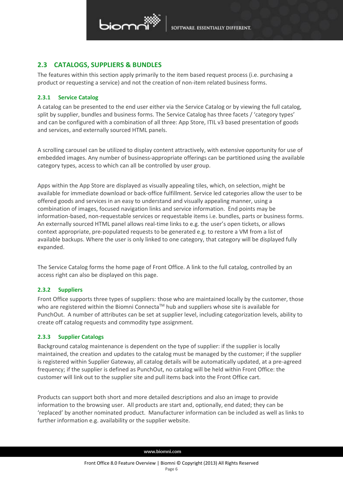

## <span id="page-5-0"></span>**2.3 CATALOGS, SUPPLIERS & BUNDLES**

The features within this section apply primarily to the item based request process (i.e. purchasing a product or requesting a service) and not the creation of non-item related business forms.

## <span id="page-5-1"></span>**2.3.1 Service Catalog**

A catalog can be presented to the end user either via the Service Catalog or by viewing the full catalog, split by supplier, bundles and business forms. The Service Catalog has three facets / 'category types' and can be configured with a combination of all three: App Store, ITIL v3 based presentation of goods and services, and externally sourced HTML panels.

A scrolling carousel can be utilized to display content attractively, with extensive opportunity for use of embedded images. Any number of business-appropriate offerings can be partitioned using the available category types, access to which can all be controlled by user group.

Apps within the App Store are displayed as visually appealing tiles, which, on selection, might be available for immediate download or back-office fulfillment. Service led categories allow the user to be offered goods and services in an easy to understand and visually appealing manner, using a combination of images, focused navigation links and service information. End points may be information-based, non-requestable services or requestable items i.e. bundles, parts or business forms. An externally sourced HTML panel allows real-time links to e.g. the user's open tickets, or allows context appropriate, pre-populated requests to be generated e.g. to restore a VM from a list of available backups. Where the user is only linked to one category, that category will be displayed fully expanded.

The Service Catalog forms the home page of Front Office. A link to the full catalog, controlled by an access right can also be displayed on this page.

## <span id="page-5-2"></span>**2.3.2 Suppliers**

Front Office supports three types of suppliers: those who are maintained locally by the customer, those who are registered within the Biomni Connecta™ hub and suppliers whose site is available for PunchOut. A number of attributes can be set at supplier level, including categorization levels, ability to create off catalog requests and commodity type assignment.

## <span id="page-5-3"></span>**2.3.3 Supplier Catalogs**

Background catalog maintenance is dependent on the type of supplier: if the supplier is locally maintained, the creation and updates to the catalog must be managed by the customer; if the supplier is registered within Supplier Gateway, all catalog details will be automatically updated, at a pre-agreed frequency; if the supplier is defined as PunchOut, no catalog will be held within Front Office: the customer will link out to the supplier site and pull items back into the Front Office cart.

Products can support both short and more detailed descriptions and also an image to provide information to the browsing user. All products are start and, optionally, end dated; they can be 'replaced' by another nominated product. Manufacturer information can be included as well as links to further information e.g. availability or the supplier website.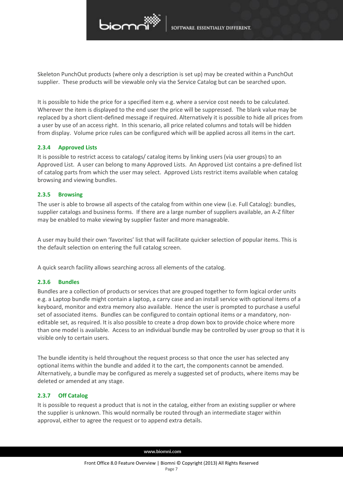

Skeleton PunchOut products (where only a description is set up) may be created within a PunchOut supplier. These products will be viewable only via the Service Catalog but can be searched upon.

It is possible to hide the price for a specified item e.g. where a service cost needs to be calculated. Wherever the item is displayed to the end user the price will be suppressed. The blank value may be replaced by a short client-defined message if required. Alternatively it is possible to hide all prices from a user by use of an access right. In this scenario, all price related columns and totals will be hidden from display. Volume price rules can be configured which will be applied across all items in the cart.

### <span id="page-6-0"></span>**2.3.4 Approved Lists**

It is possible to restrict access to catalogs/ catalog items by linking users (via user groups) to an Approved List. A user can belong to many Approved Lists. An Approved List contains a pre-defined list of catalog parts from which the user may select. Approved Lists restrict items available when catalog browsing and viewing bundles.

### <span id="page-6-1"></span>**2.3.5 Browsing**

The user is able to browse all aspects of the catalog from within one view (i.e. Full Catalog): bundles, supplier catalogs and business forms. If there are a large number of suppliers available, an A-Z filter may be enabled to make viewing by supplier faster and more manageable.

A user may build their own 'favorites' list that will facilitate quicker selection of popular items. This is the default selection on entering the full catalog screen.

A quick search facility allows searching across all elements of the catalog.

#### <span id="page-6-2"></span>**2.3.6 Bundles**

Bundles are a collection of products or services that are grouped together to form logical order units e.g. a Laptop bundle might contain a laptop, a carry case and an install service with optional items of a keyboard, monitor and extra memory also available. Hence the user is prompted to purchase a useful set of associated items. Bundles can be configured to contain optional items or a mandatory, noneditable set, as required. It is also possible to create a drop down box to provide choice where more than one model is available. Access to an individual bundle may be controlled by user group so that it is visible only to certain users.

The bundle identity is held throughout the request process so that once the user has selected any optional items within the bundle and added it to the cart, the components cannot be amended. Alternatively, a bundle may be configured as merely a suggested set of products, where items may be deleted or amended at any stage.

## <span id="page-6-3"></span>**2.3.7 Off Catalog**

It is possible to request a product that is not in the catalog, either from an existing supplier or where the supplier is unknown. This would normally be routed through an intermediate stager within approval, either to agree the request or to append extra details.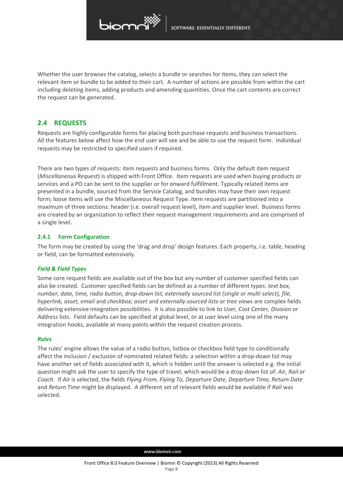

Whether the user browses the catalog, selects a bundle or searches for items, they can select the relevant item or bundle to be added to their cart. A number of actions are possible from within the cart including deleting items, adding products and amending quantities. Once the cart contents are correct the request can be generated.

## <span id="page-7-0"></span>**2.4 REQUESTS**

Requests are highly configurable forms for placing both purchase requests and business transactions. All the features below affect how the end user will see and be able to use the request form. Individual requests may be restricted to specified users if required.

There are two types of requests: item requests and business forms. Only the default item request (*Miscellaneous Request*) is shipped with Front Office. Item requests are used when buying products or services and a PO can be sent to the supplier or for onward fulfillment. Typically related items are presented in a bundle, sourced from the Service Catalog, and bundles may have their own request form; loose items will use the Miscellaneous Request Type. Item requests are partitioned into a maximum of three sections: header (i.e. overall request level), item and supplier level. Business forms are created by an organization to reflect their request management requirements and are comprised of a single level.

## <span id="page-7-1"></span>**2.4.1 Form Configuration**

The form may be created by using the 'drag and drop' design features. Each property, i.e. table, heading or field, can be formatted extensively.

## *Field & Field Types*

Some core request fields are available out of the box but any number of customer specified fields can also be created. Customer specified fields can be defined as a number of different types: *text box, number, date, time, radio button, drop-down list, externally sourced list (single or multi select), file, hyperlink, asset, email* and *checkbox; asset* and *externally sourced lists* or *tree views* are complex fields delivering extensive integration possibilities. It is also possible to link to *User, Cost Center, Division* or *Address* lists. Field defaults can be specified at global level, or at user level using one of the many integration hooks, available at many points within the request creation process.

## *Rules*

The rules' engine allows the value of a radio button, listbox or checkbox field type to conditionally affect the inclusion / exclusion of nominated related fields: a selection within a drop-down list may have another set of fields associated with it, which is hidden until the answer is selected e.g. the initial question might ask the user to specify the type of travel, which would be a drop-down list of: *Air, Rail* or *Coach*. If *Air* is selected, the fields *Flying From, Flying To, Departure Date, Departure Time, Return Date*  and *Return Time* might be displayed. A different set of relevant fields would be available if *Rail* was selected.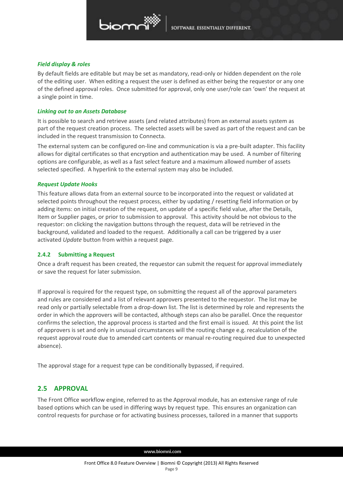

### *Field display & roles*

By default fields are editable but may be set as mandatory, read-only or hidden dependent on the role of the editing user. When editing a request the user is defined as either being the requestor or any one of the defined approval roles. Once submitted for approval, only one user/role can 'own' the request at a single point in time.

### *Linking out to an Assets Database*

It is possible to search and retrieve assets (and related attributes) from an external assets system as part of the request creation process. The selected assets will be saved as part of the request and can be included in the request transmission to Connecta.

The external system can be configured on-line and communication is via a pre-built adapter. This facility allows for digital certificates so that encryption and authentication may be used. A number of filtering options are configurable, as well as a fast select feature and a maximum allowed number of assets selected specified. A hyperlink to the external system may also be included.

### *Request Update Hooks*

This feature allows data from an external source to be incorporated into the request or validated at selected points throughout the request process, either by updating / resetting field information or by adding items: on initial creation of the request, on update of a specific field value, after the Details, Item or Supplier pages, or prior to submission to approval. This activity should be not obvious to the requestor: on clicking the navigation buttons through the request, data will be retrieved in the background, validated and loaded to the request. Additionally a call can be triggered by a user activated *Update* button from within a request page.

## <span id="page-8-0"></span>**2.4.2 Submitting a Request**

Once a draft request has been created, the requestor can submit the request for approval immediately or save the request for later submission.

If approval is required for the request type, on submitting the request all of the approval parameters and rules are considered and a list of relevant approvers presented to the requestor. The list may be read only or partially selectable from a drop-down list. The list is determined by role and represents the order in which the approvers will be contacted, although steps can also be parallel. Once the requestor confirms the selection, the approval process is started and the first email is issued. At this point the list of approvers is set and only in unusual circumstances will the routing change e.g. recalculation of the request approval route due to amended cart contents or manual re-routing required due to unexpected absence).

<span id="page-8-1"></span>The approval stage for a request type can be conditionally bypassed, if required.

## **2.5 APPROVAL**

The Front Office workflow engine, referred to as the Approval module, has an extensive range of rule based options which can be used in differing ways by request type. This ensures an organization can control requests for purchase or for activating business processes, tailored in a manner that supports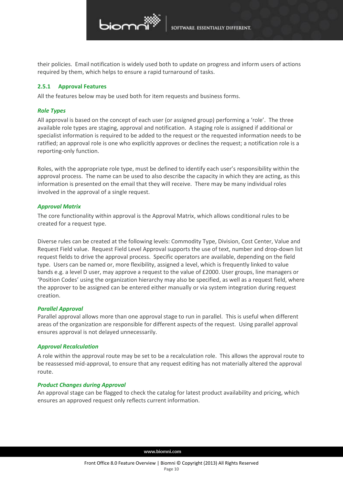

their policies. Email notification is widely used both to update on progress and inform users of actions required by them, which helps to ensure a rapid turnaround of tasks.

#### <span id="page-9-0"></span>**2.5.1 Approval Features**

All the features below may be used both for item requests and business forms.

### *Role Types*

All approval is based on the concept of each user (or assigned group) performing a 'role'. The three available role types are staging, approval and notification. A staging role is assigned if additional or specialist information is required to be added to the request or the requested information needs to be ratified; an approval role is one who explicitly approves or declines the request; a notification role is a reporting-only function.

Roles, with the appropriate role type, must be defined to identify each user's responsibility within the approval process. The name can be used to also describe the capacity in which they are acting, as this information is presented on the email that they will receive. There may be many individual roles involved in the approval of a single request.

### *Approval Matrix*

The core functionality within approval is the Approval Matrix, which allows conditional rules to be created for a request type.

Diverse rules can be created at the following levels: Commodity Type, Division, Cost Center, Value and Request Field value. Request Field Level Approval supports the use of text, number and drop-down list request fields to drive the approval process. Specific operators are available, depending on the field type. Users can be named or, more flexibility, assigned a level, which is frequently linked to value bands e.g. a level D user, may approve a request to the value of £2000. User groups, line managers or 'Position Codes' using the organization hierarchy may also be specified, as well as a request field, where the approver to be assigned can be entered either manually or via system integration during request creation.

#### *Parallel Approval*

Parallel approval allows more than one approval stage to run in parallel. This is useful when different areas of the organization are responsible for different aspects of the request. Using parallel approval ensures approval is not delayed unnecessarily.

## *Approval Recalculation*

A role within the approval route may be set to be a recalculation role. This allows the approval route to be reassessed mid-approval, to ensure that any request editing has not materially altered the approval route.

#### *Product Changes during Approval*

An approval stage can be flagged to check the catalog for latest product availability and pricing, which ensures an approved request only reflects current information.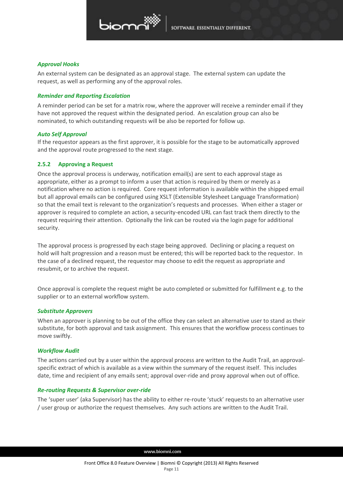

### *Approval Hooks*

An external system can be designated as an approval stage. The external system can update the request, as well as performing any of the approval roles.

## *Reminder and Reporting Escalation*

A reminder period can be set for a matrix row, where the approver will receive a reminder email if they have not approved the request within the designated period. An escalation group can also be nominated, to which outstanding requests will be also be reported for follow up.

### *Auto Self Approval*

If the requestor appears as the first approver, it is possible for the stage to be automatically approved and the approval route progressed to the next stage.

## <span id="page-10-0"></span>**2.5.2 Approving a Request**

Once the approval process is underway, notification email(s) are sent to each approval stage as appropriate, either as a prompt to inform a user that action is required by them or merely as a notification where no action is required. Core request information is available within the shipped email but all approval emails can be configured using XSLT (Extensible Stylesheet Language Transformation) so that the email text is relevant to the organization's requests and processes. When either a stager or approver is required to complete an action, a security-encoded URL can fast track them directly to the request requiring their attention. Optionally the link can be routed via the login page for additional security.

The approval process is progressed by each stage being approved. Declining or placing a request on hold will halt progression and a reason must be entered; this will be reported back to the requestor. In the case of a declined request, the requestor may choose to edit the request as appropriate and resubmit, or to archive the request.

Once approval is complete the request might be auto completed or submitted for fulfillment e.g. to the supplier or to an external workflow system.

## *Substitute Approvers*

When an approver is planning to be out of the office they can select an alternative user to stand as their substitute, for both approval and task assignment. This ensures that the workflow process continues to move swiftly.

## *Workflow Audit*

The actions carried out by a user within the approval process are written to the Audit Trail, an approvalspecific extract of which is available as a view within the summary of the request itself. This includes date, time and recipient of any emails sent; approval over-ride and proxy approval when out of office.

## *Re-routing Requests & Supervisor over-ride*

The 'super user' (aka Supervisor) has the ability to either re-route 'stuck' requests to an alternative user / user group or authorize the request themselves. Any such actions are written to the Audit Trail.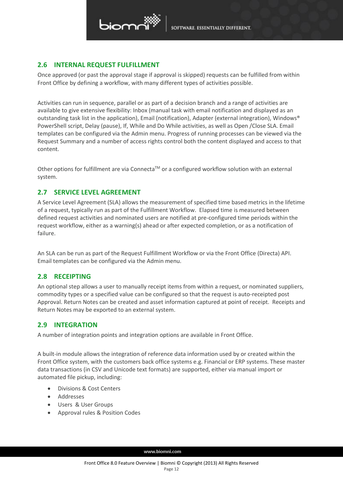

## <span id="page-11-0"></span>**2.6 INTERNAL REQUEST FULFILLMENT**

Once approved (or past the approval stage if approval is skipped) requests can be fulfilled from within Front Office by defining a workflow, with many different types of activities possible.

Activities can run in sequence, parallel or as part of a decision branch and a range of activities are available to give extensive flexibility: Inbox (manual task with email notification and displayed as an outstanding task list in the application), Email (notification), Adapter (external integration), Windows® PowerShell script, Delay (pause), If, While and Do While activities, as well as Open /Close SLA. Email templates can be configured via the Admin menu. Progress of running processes can be viewed via the Request Summary and a number of access rights control both the content displayed and access to that content.

Other options for fulfillment are via Connecta<sup>TM</sup> or a configured workflow solution with an external system.

## <span id="page-11-1"></span>**2.7 SERVICE LEVEL AGREEMENT**

A Service Level Agreement (SLA) allows the measurement of specified time based metrics in the lifetime of a request, typically run as part of the Fulfillment Workflow. Elapsed time is measured between defined request activities and nominated users are notified at pre-configured time periods within the request workflow, either as a warning(s) ahead or after expected completion, or as a notification of failure.

An SLA can be run as part of the Request Fulfillment Workflow or via the Front Office (Directa) API. Email templates can be configured via the Admin menu.

## <span id="page-11-2"></span>**2.8 RECEIPTING**

An optional step allows a user to manually receipt items from within a request, or nominated suppliers, commodity types or a specified value can be configured so that the request is auto-receipted post Approval. Return Notes can be created and asset information captured at point of receipt. Receipts and Return Notes may be exported to an external system.

## <span id="page-11-3"></span>**2.9 INTEGRATION**

A number of integration points and integration options are available in Front Office.

A built-in module allows the integration of reference data information used by or created within the Front Office system, with the customers back office systems e.g. Financial or ERP systems. These master data transactions (in CSV and Unicode text formats) are supported, either via manual import or automated file pickup, including:

- Divisions & Cost Centers
- Addresses
- Users & User Groups
- Approval rules & Position Codes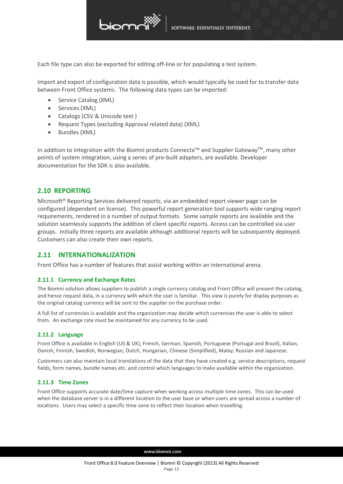

Each file type can also be exported for editing off-line or for populating a test system.

Import and export of configuration data is possible, which would typically be used for to transfer data between Front Office systems. The following data types can be imported:

- Service Catalog (XML)
- Services (XML)
- Catalogs (CSV & Unicode text )
- Request Types (excluding Approval related data) (XML)
- Bundles (XML)

In addition to integration with the Biomni products Connecta™ and Supplier Gateway™, many other points of system integration, using a series of pre-built adapters, are available. Developer documentation for the SDK is also available.

## <span id="page-12-0"></span>**2.10 REPORTING**

Microsoft® Reporting Services delivered reports, via an embedded report viewer page can be configured (dependent on license). This powerful report generation tool supports wide ranging report requirements, rendered in a number of output formats. Some sample reports are available and the solution seamlessly supports the addition of client specific reports. Access can be controlled via user groups. Initially three reports are available although additional reports will be subsequently deployed. Customers can also create their own reports.

## <span id="page-12-1"></span>**2.11 INTERNATIONALIZATION**

Front Office has a number of features that assist working within an international arena.

## <span id="page-12-2"></span>**2.11.1 Currency and Exchange Rates**

The Biomni solution allows suppliers to publish a single currency catalog and Front Office will present the catalog, and hence request data, in a currency with which the user is familiar. This view is purely for display purposes as the original catalog currency will be sent to the supplier on the purchase order.

A full list of currencies is available and the organization may decide which currencies the user is able to select from. An exchange rate must be maintained for any currency to be used.

## <span id="page-12-3"></span>**2.11.2 Language**

Front Office is available in English (US & UK), French, German, Spanish, Portuguese (Portugal and Brazil), Italian, Danish, Finnish, Swedish, Norwegian, Dutch, Hungarian, Chinese (Simplified), Malay, Russian and Japanese.

Customers can also maintain local translations of the data that they have created e.g. service descriptions, request fields, form names, bundle names etc. and control which languages to make available within the organization.

#### <span id="page-12-4"></span>**2.11.3 Time Zones**

Front Office supports accurate date/time capture when working across multiple time zones. This can be used when the database server is in a different location to the user base or when users are spread across a number of locations. Users may select a specific time zone to reflect their location when travelling.